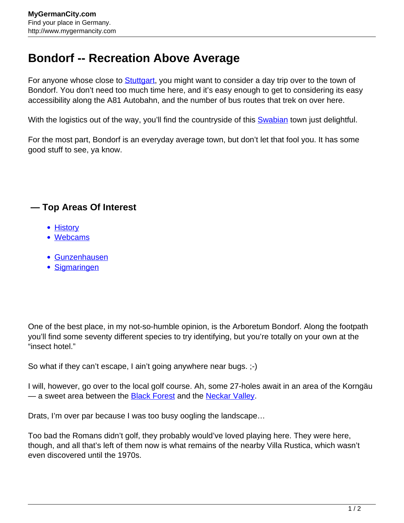## **Bondorf -- Recreation Above Average**

For anyone whose close to **Stuttgart**, you might want to consider a day trip over to the town of Bondorf. You don't need too much time here, and it's easy enough to get to considering its easy accessibility along the A81 Autobahn, and the number of bus routes that trek on over here.

With the logistics out of the way, you'll find the countryside of this [Swabian](http://www.mygermancity.com/swabia) town just delightful.

For the most part, Bondorf is an everyday average town, but don't let that fool you. It has some good stuff to see, ya know.

## **— Top Areas Of Interest**

- **[History](http://www.mygermancity.com/leipzig-history)**
- [Webcams](http://www.mygermancity.com/neustadt-holstein-webcams)
- [Gunzenhausen](http://www.mygermancity.com/gunzenhausen)
- [Sigmaringen](http://www.mygermancity.com/sigmaringen)

One of the best place, in my not-so-humble opinion, is the Arboretum Bondorf. Along the footpath you'll find some seventy different species to try identifying, but you're totally on your own at the "insect hotel."

So what if they can't escape, I ain't going anywhere near bugs. ;-)

I will, however, go over to the local golf course. Ah, some 27-holes await in an area of the Korngäu — a sweet area between the **[Black Forest](http://www.mygermancity.com/black-forest)** and the [Neckar Valley](http://www.mygermancity.com/neckar).

Drats, I'm over par because I was too busy oogling the landscape…

Too bad the Romans didn't golf, they probably would've loved playing here. They were here, though, and all that's left of them now is what remains of the nearby Villa Rustica, which wasn't even discovered until the 1970s.